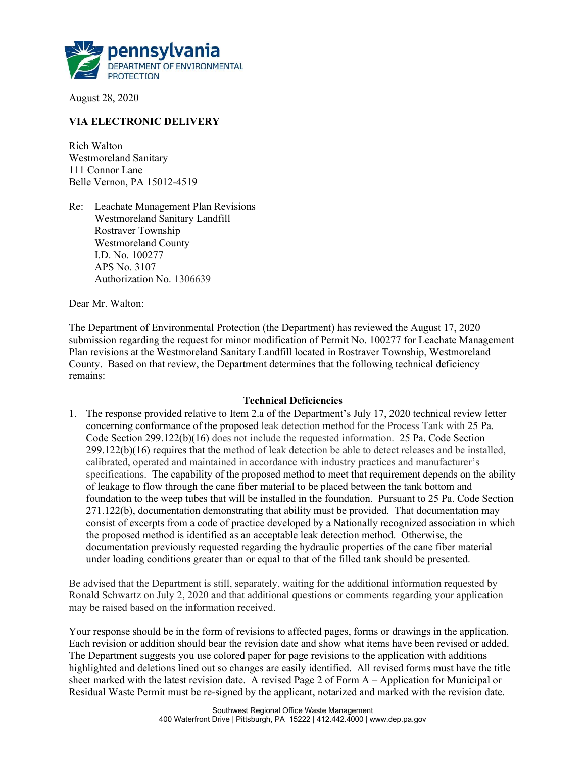

August 28, 2020

## VIA ELECTRONIC DELIVERY

Rich Walton Westmoreland Sanitary 111 Connor Lane Belle Vernon, PA 15012-4519

Re: Leachate Management Plan Revisions Westmoreland Sanitary Landfill Rostraver Township Westmoreland County I.D. No. 100277 APS No. 3107 Authorization No. 1306639

Dear Mr. Walton:

The Department of Environmental Protection (the Department) has reviewed the August 17, 2020 submission regarding the request for minor modification of Permit No. 100277 for Leachate Management Plan revisions at the Westmoreland Sanitary Landfill located in Rostraver Township, Westmoreland County. Based on that review, the Department determines that the following technical deficiency remains:

## Technical Deficiencies

1. The response provided relative to Item 2.a of the Department's July 17, 2020 technical review letter concerning conformance of the proposed leak detection method for the Process Tank with 25 Pa. Code Section 299.122(b)(16) does not include the requested information. 25 Pa. Code Section 299.122(b)(16) requires that the method of leak detection be able to detect releases and be installed, calibrated, operated and maintained in accordance with industry practices and manufacturer's specifications. The capability of the proposed method to meet that requirement depends on the ability of leakage to flow through the cane fiber material to be placed between the tank bottom and foundation to the weep tubes that will be installed in the foundation. Pursuant to 25 Pa. Code Section 271.122(b), documentation demonstrating that ability must be provided. That documentation may consist of excerpts from a code of practice developed by a Nationally recognized association in which the proposed method is identified as an acceptable leak detection method. Otherwise, the documentation previously requested regarding the hydraulic properties of the cane fiber material under loading conditions greater than or equal to that of the filled tank should be presented.

Be advised that the Department is still, separately, waiting for the additional information requested by Ronald Schwartz on July 2, 2020 and that additional questions or comments regarding your application may be raised based on the information received.

Your response should be in the form of revisions to affected pages, forms or drawings in the application. Each revision or addition should bear the revision date and show what items have been revised or added. The Department suggests you use colored paper for page revisions to the application with additions highlighted and deletions lined out so changes are easily identified. All revised forms must have the title sheet marked with the latest revision date. A revised Page 2 of Form A – Application for Municipal or Residual Waste Permit must be re-signed by the applicant, notarized and marked with the revision date.